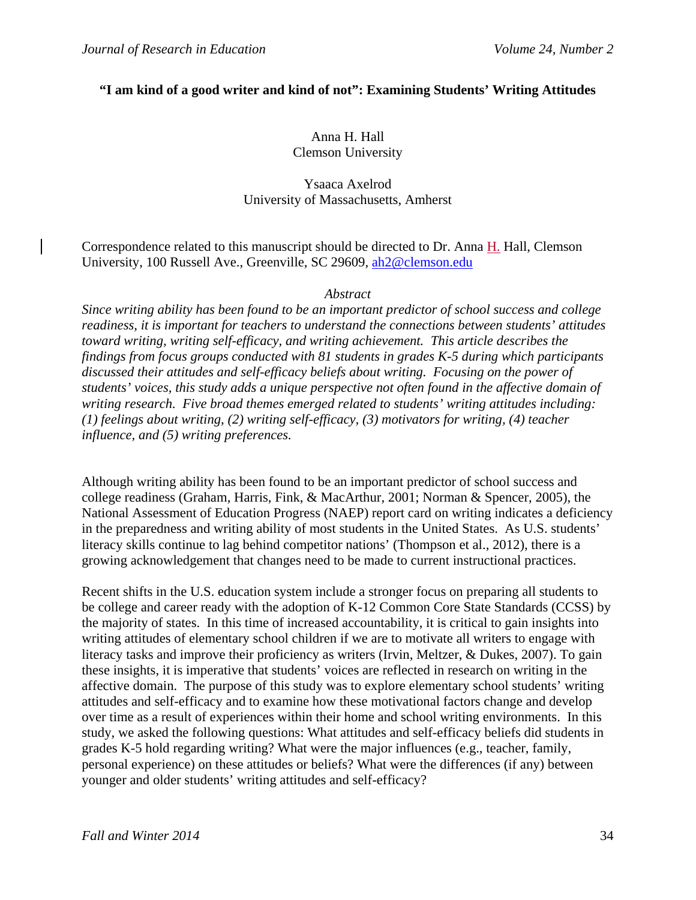#### **"I am kind of a good writer and kind of not": Examining Students' Writing Attitudes**

#### Anna H. Hall Clemson University

# Ysaaca Axelrod University of Massachusetts, Amherst

Correspondence related to this manuscript should be directed to Dr. Anna H. Hall, Clemson University, 100 Russell Ave., Greenville, SC 29609, ah2@clemson.edu

#### *Abstract*

*Since writing ability has been found to be an important predictor of school success and college readiness, it is important for teachers to understand the connections between students' attitudes toward writing, writing self-efficacy, and writing achievement. This article describes the findings from focus groups conducted with 81 students in grades K-5 during which participants discussed their attitudes and self-efficacy beliefs about writing. Focusing on the power of students' voices, this study adds a unique perspective not often found in the affective domain of writing research. Five broad themes emerged related to students' writing attitudes including: (1) feelings about writing, (2) writing self-efficacy, (3) motivators for writing, (4) teacher influence, and (5) writing preferences.* 

Although writing ability has been found to be an important predictor of school success and college readiness (Graham, Harris, Fink, & MacArthur, 2001; Norman & Spencer, 2005), the National Assessment of Education Progress (NAEP) report card on writing indicates a deficiency in the preparedness and writing ability of most students in the United States. As U.S. students' literacy skills continue to lag behind competitor nations' (Thompson et al., 2012), there is a growing acknowledgement that changes need to be made to current instructional practices.

Recent shifts in the U.S. education system include a stronger focus on preparing all students to be college and career ready with the adoption of K-12 Common Core State Standards (CCSS) by the majority of states. In this time of increased accountability, it is critical to gain insights into writing attitudes of elementary school children if we are to motivate all writers to engage with literacy tasks and improve their proficiency as writers (Irvin, Meltzer, & Dukes, 2007). To gain these insights, it is imperative that students' voices are reflected in research on writing in the affective domain. The purpose of this study was to explore elementary school students' writing attitudes and self-efficacy and to examine how these motivational factors change and develop over time as a result of experiences within their home and school writing environments. In this study, we asked the following questions: What attitudes and self-efficacy beliefs did students in grades K-5 hold regarding writing? What were the major influences (e.g., teacher, family, personal experience) on these attitudes or beliefs? What were the differences (if any) between younger and older students' writing attitudes and self-efficacy?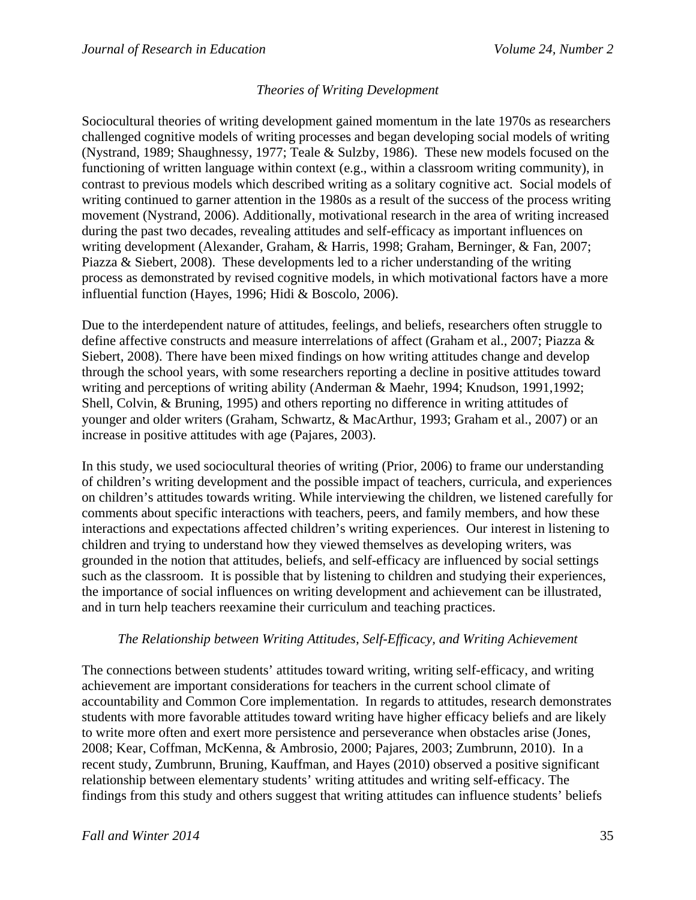# *Theories of Writing Development*

Sociocultural theories of writing development gained momentum in the late 1970s as researchers challenged cognitive models of writing processes and began developing social models of writing (Nystrand, 1989; Shaughnessy, 1977; Teale & Sulzby, 1986). These new models focused on the functioning of written language within context (e.g., within a classroom writing community), in contrast to previous models which described writing as a solitary cognitive act. Social models of writing continued to garner attention in the 1980s as a result of the success of the process writing movement (Nystrand, 2006). Additionally, motivational research in the area of writing increased during the past two decades, revealing attitudes and self-efficacy as important influences on writing development (Alexander, Graham, & Harris, 1998; Graham, Berninger, & Fan, 2007; Piazza & Siebert, 2008). These developments led to a richer understanding of the writing process as demonstrated by revised cognitive models, in which motivational factors have a more influential function (Hayes, 1996; Hidi & Boscolo, 2006).

Due to the interdependent nature of attitudes, feelings, and beliefs, researchers often struggle to define affective constructs and measure interrelations of affect (Graham et al., 2007; Piazza & Siebert, 2008). There have been mixed findings on how writing attitudes change and develop through the school years, with some researchers reporting a decline in positive attitudes toward writing and perceptions of writing ability (Anderman & Maehr, 1994; Knudson, 1991,1992; Shell, Colvin, & Bruning, 1995) and others reporting no difference in writing attitudes of younger and older writers (Graham, Schwartz, & MacArthur, 1993; Graham et al., 2007) or an increase in positive attitudes with age (Pajares, 2003).

In this study, we used sociocultural theories of writing (Prior, 2006) to frame our understanding of children's writing development and the possible impact of teachers, curricula, and experiences on children's attitudes towards writing. While interviewing the children, we listened carefully for comments about specific interactions with teachers, peers, and family members, and how these interactions and expectations affected children's writing experiences. Our interest in listening to children and trying to understand how they viewed themselves as developing writers, was grounded in the notion that attitudes, beliefs, and self-efficacy are influenced by social settings such as the classroom. It is possible that by listening to children and studying their experiences, the importance of social influences on writing development and achievement can be illustrated, and in turn help teachers reexamine their curriculum and teaching practices.

## *The Relationship between Writing Attitudes, Self-Efficacy, and Writing Achievement*

The connections between students' attitudes toward writing, writing self-efficacy, and writing achievement are important considerations for teachers in the current school climate of accountability and Common Core implementation. In regards to attitudes, research demonstrates students with more favorable attitudes toward writing have higher efficacy beliefs and are likely to write more often and exert more persistence and perseverance when obstacles arise (Jones, 2008; Kear, Coffman, McKenna, & Ambrosio, 2000; Pajares, 2003; Zumbrunn, 2010). In a recent study, Zumbrunn, Bruning, Kauffman, and Hayes (2010) observed a positive significant relationship between elementary students' writing attitudes and writing self-efficacy. The findings from this study and others suggest that writing attitudes can influence students' beliefs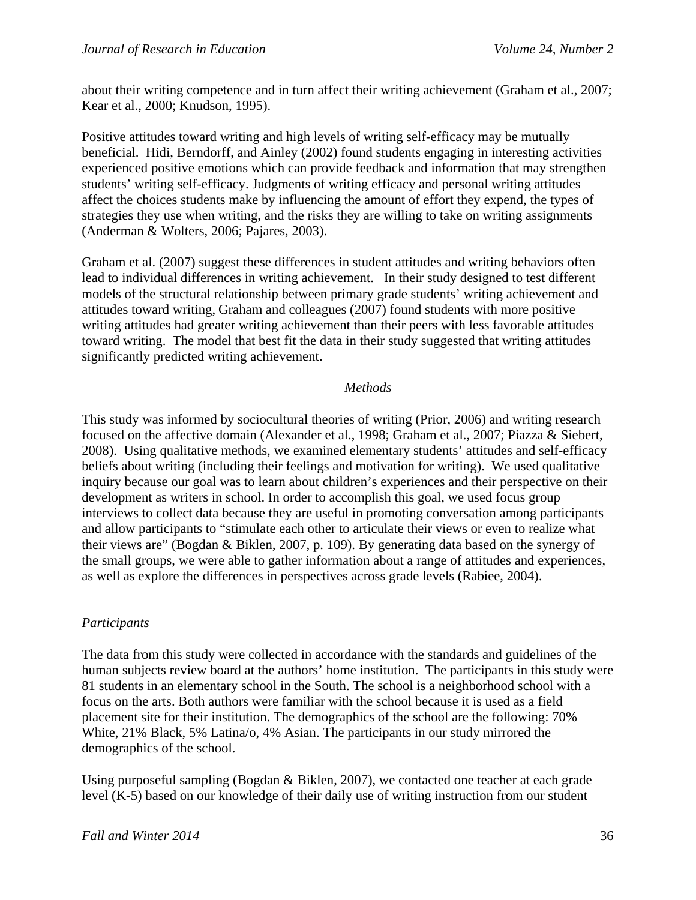about their writing competence and in turn affect their writing achievement (Graham et al., 2007; Kear et al., 2000; Knudson, 1995).

Positive attitudes toward writing and high levels of writing self-efficacy may be mutually beneficial. Hidi, Berndorff, and Ainley (2002) found students engaging in interesting activities experienced positive emotions which can provide feedback and information that may strengthen students' writing self-efficacy. Judgments of writing efficacy and personal writing attitudes affect the choices students make by influencing the amount of effort they expend, the types of strategies they use when writing, and the risks they are willing to take on writing assignments (Anderman & Wolters, 2006; Pajares, 2003).

Graham et al. (2007) suggest these differences in student attitudes and writing behaviors often lead to individual differences in writing achievement. In their study designed to test different models of the structural relationship between primary grade students' writing achievement and attitudes toward writing, Graham and colleagues (2007) found students with more positive writing attitudes had greater writing achievement than their peers with less favorable attitudes toward writing. The model that best fit the data in their study suggested that writing attitudes significantly predicted writing achievement.

#### *Methods*

This study was informed by sociocultural theories of writing (Prior, 2006) and writing research focused on the affective domain (Alexander et al., 1998; Graham et al., 2007; Piazza & Siebert, 2008). Using qualitative methods, we examined elementary students' attitudes and self-efficacy beliefs about writing (including their feelings and motivation for writing). We used qualitative inquiry because our goal was to learn about children's experiences and their perspective on their development as writers in school. In order to accomplish this goal, we used focus group interviews to collect data because they are useful in promoting conversation among participants and allow participants to "stimulate each other to articulate their views or even to realize what their views are" (Bogdan & Biklen, 2007, p. 109). By generating data based on the synergy of the small groups, we were able to gather information about a range of attitudes and experiences, as well as explore the differences in perspectives across grade levels (Rabiee, 2004).

## *Participants*

The data from this study were collected in accordance with the standards and guidelines of the human subjects review board at the authors' home institution. The participants in this study were 81 students in an elementary school in the South. The school is a neighborhood school with a focus on the arts. Both authors were familiar with the school because it is used as a field placement site for their institution. The demographics of the school are the following: 70% White, 21% Black, 5% Latina/o, 4% Asian. The participants in our study mirrored the demographics of the school.

Using purposeful sampling (Bogdan & Biklen, 2007), we contacted one teacher at each grade level (K-5) based on our knowledge of their daily use of writing instruction from our student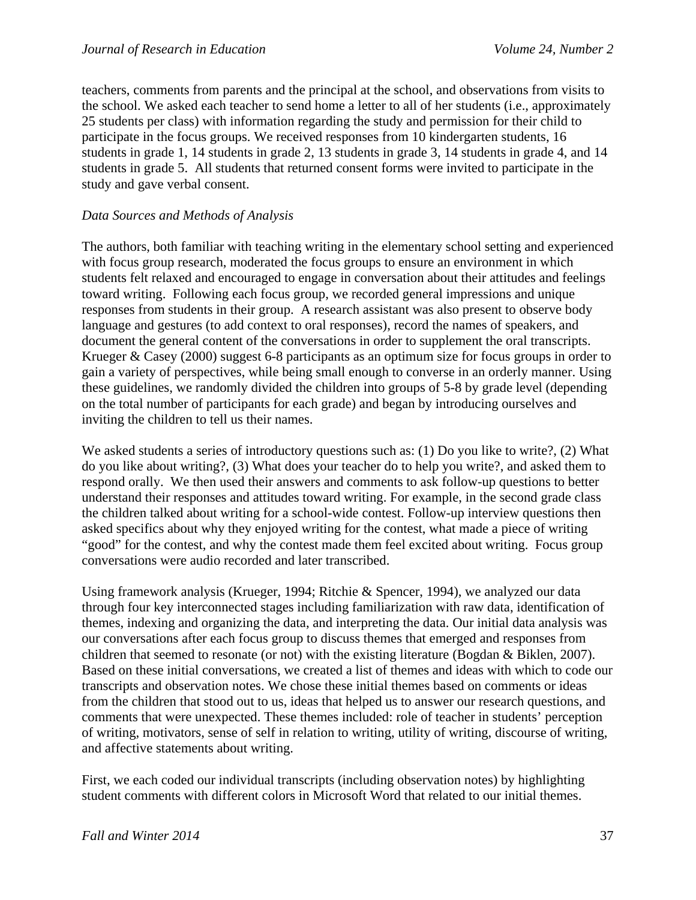teachers, comments from parents and the principal at the school, and observations from visits to the school. We asked each teacher to send home a letter to all of her students (i.e., approximately 25 students per class) with information regarding the study and permission for their child to participate in the focus groups. We received responses from 10 kindergarten students, 16 students in grade 1, 14 students in grade 2, 13 students in grade 3, 14 students in grade 4, and 14 students in grade 5. All students that returned consent forms were invited to participate in the study and gave verbal consent.

#### *Data Sources and Methods of Analysis*

The authors, both familiar with teaching writing in the elementary school setting and experienced with focus group research, moderated the focus groups to ensure an environment in which students felt relaxed and encouraged to engage in conversation about their attitudes and feelings toward writing. Following each focus group, we recorded general impressions and unique responses from students in their group. A research assistant was also present to observe body language and gestures (to add context to oral responses), record the names of speakers, and document the general content of the conversations in order to supplement the oral transcripts. Krueger & Casey (2000) suggest 6-8 participants as an optimum size for focus groups in order to gain a variety of perspectives, while being small enough to converse in an orderly manner. Using these guidelines, we randomly divided the children into groups of 5-8 by grade level (depending on the total number of participants for each grade) and began by introducing ourselves and inviting the children to tell us their names.

We asked students a series of introductory questions such as: (1) Do you like to write?, (2) What do you like about writing?, (3) What does your teacher do to help you write?, and asked them to respond orally. We then used their answers and comments to ask follow-up questions to better understand their responses and attitudes toward writing. For example, in the second grade class the children talked about writing for a school-wide contest. Follow-up interview questions then asked specifics about why they enjoyed writing for the contest, what made a piece of writing "good" for the contest, and why the contest made them feel excited about writing. Focus group conversations were audio recorded and later transcribed.

Using framework analysis (Krueger, 1994; Ritchie & Spencer, 1994), we analyzed our data through four key interconnected stages including familiarization with raw data, identification of themes, indexing and organizing the data, and interpreting the data. Our initial data analysis was our conversations after each focus group to discuss themes that emerged and responses from children that seemed to resonate (or not) with the existing literature (Bogdan & Biklen, 2007). Based on these initial conversations, we created a list of themes and ideas with which to code our transcripts and observation notes. We chose these initial themes based on comments or ideas from the children that stood out to us, ideas that helped us to answer our research questions, and comments that were unexpected. These themes included: role of teacher in students' perception of writing, motivators, sense of self in relation to writing, utility of writing, discourse of writing, and affective statements about writing.

First, we each coded our individual transcripts (including observation notes) by highlighting student comments with different colors in Microsoft Word that related to our initial themes.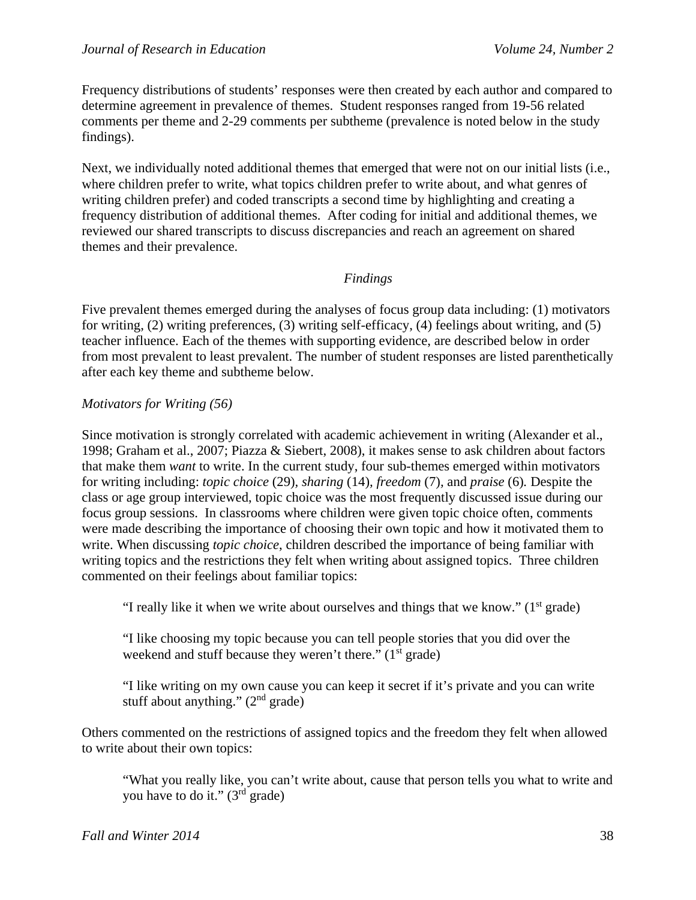Frequency distributions of students' responses were then created by each author and compared to determine agreement in prevalence of themes. Student responses ranged from 19-56 related comments per theme and 2-29 comments per subtheme (prevalence is noted below in the study findings).

Next, we individually noted additional themes that emerged that were not on our initial lists (i.e., where children prefer to write, what topics children prefer to write about, and what genres of writing children prefer) and coded transcripts a second time by highlighting and creating a frequency distribution of additional themes. After coding for initial and additional themes, we reviewed our shared transcripts to discuss discrepancies and reach an agreement on shared themes and their prevalence.

# *Findings*

Five prevalent themes emerged during the analyses of focus group data including: (1) motivators for writing, (2) writing preferences, (3) writing self-efficacy, (4) feelings about writing, and (5) teacher influence. Each of the themes with supporting evidence, are described below in order from most prevalent to least prevalent. The number of student responses are listed parenthetically after each key theme and subtheme below.

## *Motivators for Writing (56)*

Since motivation is strongly correlated with academic achievement in writing (Alexander et al., 1998; Graham et al., 2007; Piazza & Siebert, 2008), it makes sense to ask children about factors that make them *want* to write. In the current study, four sub-themes emerged within motivators for writing including: *topic choice* (29)*, sharing* (14)*, freedom* (7)*,* and *praise* (6)*.* Despite the class or age group interviewed, topic choice was the most frequently discussed issue during our focus group sessions. In classrooms where children were given topic choice often, comments were made describing the importance of choosing their own topic and how it motivated them to write. When discussing *topic choice*, children described the importance of being familiar with writing topics and the restrictions they felt when writing about assigned topics. Three children commented on their feelings about familiar topics:

"I really like it when we write about ourselves and things that we know."  $(1<sup>st</sup> grade)$ 

"I like choosing my topic because you can tell people stories that you did over the weekend and stuff because they weren't there."  $(1<sup>st</sup> grade)$ 

"I like writing on my own cause you can keep it secret if it's private and you can write stuff about anything."  $(2<sup>nd</sup> grade)$ 

Others commented on the restrictions of assigned topics and the freedom they felt when allowed to write about their own topics:

"What you really like, you can't write about, cause that person tells you what to write and you have to do it." (3rd grade)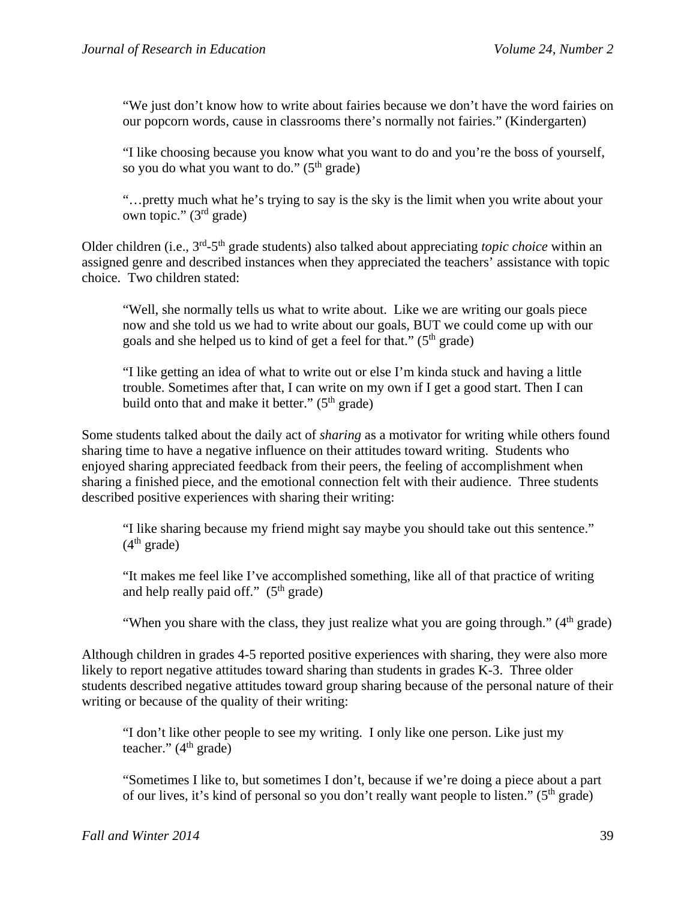"We just don't know how to write about fairies because we don't have the word fairies on our popcorn words, cause in classrooms there's normally not fairies." (Kindergarten)

"I like choosing because you know what you want to do and you're the boss of yourself, so you do what you want to do."  $(5<sup>th</sup> grade)$ 

"…pretty much what he's trying to say is the sky is the limit when you write about your own topic." (3rd grade)

Older children (i.e., 3<sup>rd</sup>-5<sup>th</sup> grade students) also talked about appreciating *topic choice* within an assigned genre and described instances when they appreciated the teachers' assistance with topic choice. Two children stated:

"Well, she normally tells us what to write about. Like we are writing our goals piece now and she told us we had to write about our goals, BUT we could come up with our goals and she helped us to kind of get a feel for that."  $(5<sup>th</sup> \text{ grade})$ 

"I like getting an idea of what to write out or else I'm kinda stuck and having a little trouble. Sometimes after that, I can write on my own if I get a good start. Then I can build onto that and make it better."  $(5<sup>th</sup> \text{ grade})$ 

Some students talked about the daily act of *sharing* as a motivator for writing while others found sharing time to have a negative influence on their attitudes toward writing. Students who enjoyed sharing appreciated feedback from their peers, the feeling of accomplishment when sharing a finished piece, and the emotional connection felt with their audience. Three students described positive experiences with sharing their writing:

"I like sharing because my friend might say maybe you should take out this sentence."  $(4<sup>th</sup> grade)$ 

"It makes me feel like I've accomplished something, like all of that practice of writing and help really paid off."  $(5<sup>th</sup> grade)$ 

"When you share with the class, they just realize what you are going through."  $(4<sup>th</sup> grade)$ 

Although children in grades 4-5 reported positive experiences with sharing, they were also more likely to report negative attitudes toward sharing than students in grades K-3. Three older students described negative attitudes toward group sharing because of the personal nature of their writing or because of the quality of their writing:

"I don't like other people to see my writing. I only like one person. Like just my teacher."  $(4<sup>th</sup> grade)$ 

"Sometimes I like to, but sometimes I don't, because if we're doing a piece about a part of our lives, it's kind of personal so you don't really want people to listen." ( $5<sup>th</sup>$  grade)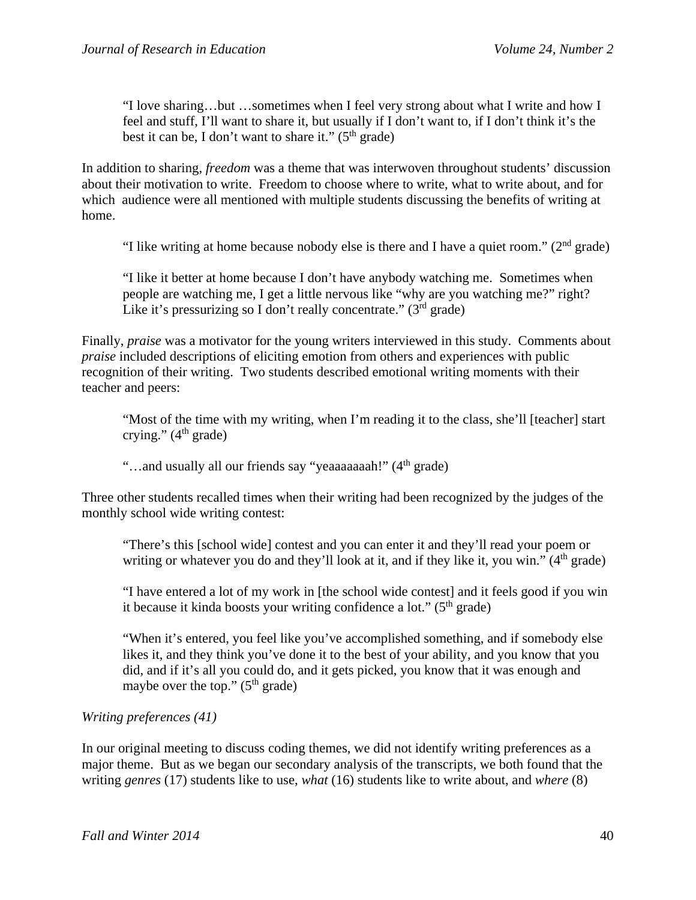"I love sharing…but …sometimes when I feel very strong about what I write and how I feel and stuff, I'll want to share it, but usually if I don't want to, if I don't think it's the best it can be, I don't want to share it."  $(5<sup>th</sup> \text{ grade})$ 

In addition to sharing, *freedom* was a theme that was interwoven throughout students' discussion about their motivation to write. Freedom to choose where to write, what to write about, and for which audience were all mentioned with multiple students discussing the benefits of writing at home.

"I like writing at home because nobody else is there and I have a quiet room." (2nd grade)

"I like it better at home because I don't have anybody watching me. Sometimes when people are watching me, I get a little nervous like "why are you watching me?" right? Like it's pressurizing so I don't really concentrate."  $(3^{rd}$  grade)

Finally, *praise* was a motivator for the young writers interviewed in this study. Comments about *praise* included descriptions of eliciting emotion from others and experiences with public recognition of their writing. Two students described emotional writing moments with their teacher and peers:

"Most of the time with my writing, when I'm reading it to the class, she'll [teacher] start crying."  $(4<sup>th</sup> \text{ grade})$ 

"...and usually all our friends say "yeaaaaaaah!" (4<sup>th</sup> grade)

Three other students recalled times when their writing had been recognized by the judges of the monthly school wide writing contest:

"There's this [school wide] contest and you can enter it and they'll read your poem or writing or whatever you do and they'll look at it, and if they like it, you win."  $(4<sup>th</sup> \text{ grade})$ 

"I have entered a lot of my work in [the school wide contest] and it feels good if you win it because it kinda boosts your writing confidence a lot."  $(5<sup>th</sup> grade)$ 

"When it's entered, you feel like you've accomplished something, and if somebody else likes it, and they think you've done it to the best of your ability, and you know that you did, and if it's all you could do, and it gets picked, you know that it was enough and maybe over the top."  $(5<sup>th</sup> grade)$ 

## *Writing preferences (41)*

In our original meeting to discuss coding themes, we did not identify writing preferences as a major theme. But as we began our secondary analysis of the transcripts, we both found that the writing *genres* (17) students like to use, *what* (16) students like to write about, and *where* (8)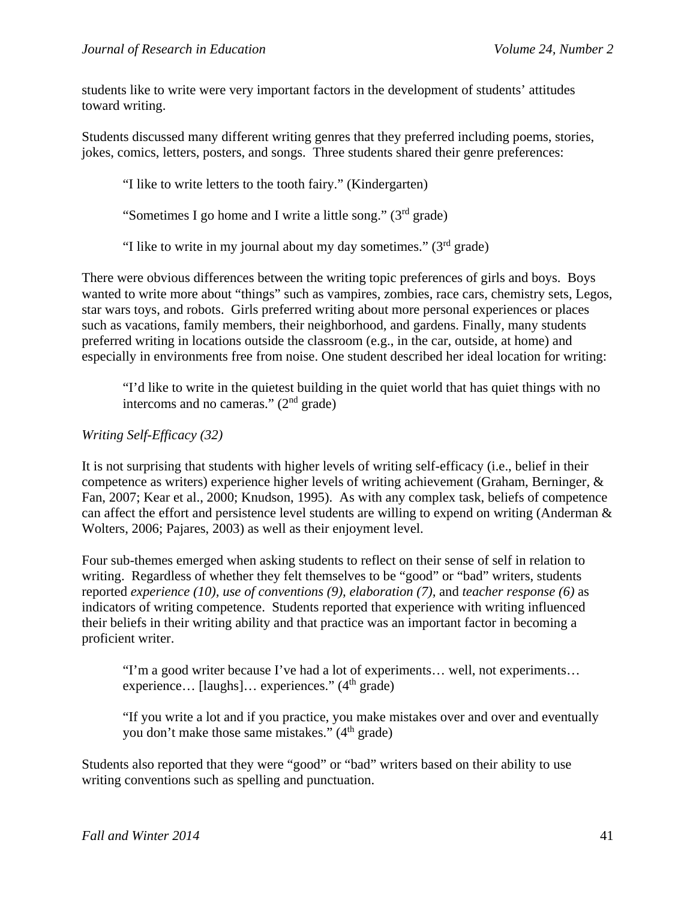students like to write were very important factors in the development of students' attitudes toward writing.

Students discussed many different writing genres that they preferred including poems, stories, jokes, comics, letters, posters, and songs. Three students shared their genre preferences:

"I like to write letters to the tooth fairy." (Kindergarten)

"Sometimes I go home and I write a little song."  $(3<sup>rd</sup> grade)$ 

"I like to write in my journal about my day sometimes."  $(3<sup>rd</sup> grade)$ 

There were obvious differences between the writing topic preferences of girls and boys. Boys wanted to write more about "things" such as vampires, zombies, race cars, chemistry sets, Legos, star wars toys, and robots. Girls preferred writing about more personal experiences or places such as vacations, family members, their neighborhood, and gardens. Finally, many students preferred writing in locations outside the classroom (e.g., in the car, outside, at home) and especially in environments free from noise. One student described her ideal location for writing:

"I'd like to write in the quietest building in the quiet world that has quiet things with no intercoms and no cameras."  $(2<sup>nd</sup> grade)$ 

# *Writing Self-Efficacy (32)*

It is not surprising that students with higher levels of writing self-efficacy (i.e., belief in their competence as writers) experience higher levels of writing achievement (Graham, Berninger, & Fan, 2007; Kear et al., 2000; Knudson, 1995). As with any complex task, beliefs of competence can affect the effort and persistence level students are willing to expend on writing (Anderman & Wolters, 2006; Pajares, 2003) as well as their enjoyment level.

Four sub-themes emerged when asking students to reflect on their sense of self in relation to writing. Regardless of whether they felt themselves to be "good" or "bad" writers, students reported *experience (10), use of conventions (9), elaboration (7),* and *teacher response (6)* as indicators of writing competence. Students reported that experience with writing influenced their beliefs in their writing ability and that practice was an important factor in becoming a proficient writer.

"I'm a good writer because I've had a lot of experiments… well, not experiments… experience... [laughs]... experiences."  $(4<sup>th</sup> grade)$ 

"If you write a lot and if you practice, you make mistakes over and over and eventually you don't make those same mistakes."  $(4<sup>th</sup> grade)$ 

Students also reported that they were "good" or "bad" writers based on their ability to use writing conventions such as spelling and punctuation.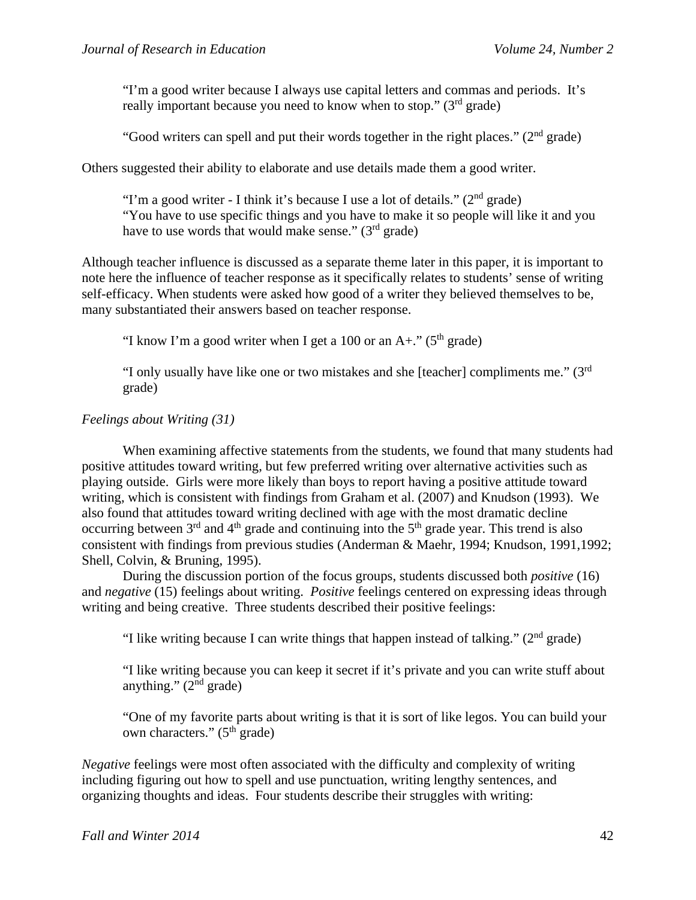"I'm a good writer because I always use capital letters and commas and periods. It's really important because you need to know when to stop."  $(3<sup>rd</sup>$  grade)

"Good writers can spell and put their words together in the right places." ( $2<sup>nd</sup>$  grade)

Others suggested their ability to elaborate and use details made them a good writer.

"I'm a good writer - I think it's because I use a lot of details." ( $2<sup>nd</sup>$  grade) "You have to use specific things and you have to make it so people will like it and you have to use words that would make sense."  $(3<sup>rd</sup> \text{ grade})$ 

Although teacher influence is discussed as a separate theme later in this paper, it is important to note here the influence of teacher response as it specifically relates to students' sense of writing self-efficacy. When students were asked how good of a writer they believed themselves to be, many substantiated their answers based on teacher response.

"I know I'm a good writer when I get a 100 or an  $A+$ ." ( $5<sup>th</sup>$  grade)

"I only usually have like one or two mistakes and she [teacher] compliments me."  $(3<sup>rd</sup>$ grade)

## *Feelings about Writing (31)*

When examining affective statements from the students, we found that many students had positive attitudes toward writing, but few preferred writing over alternative activities such as playing outside. Girls were more likely than boys to report having a positive attitude toward writing, which is consistent with findings from Graham et al. (2007) and Knudson (1993). We also found that attitudes toward writing declined with age with the most dramatic decline occurring between  $3<sup>rd</sup>$  and  $4<sup>th</sup>$  grade and continuing into the  $5<sup>th</sup>$  grade year. This trend is also consistent with findings from previous studies (Anderman & Maehr, 1994; Knudson, 1991,1992; Shell, Colvin, & Bruning, 1995).

During the discussion portion of the focus groups, students discussed both *positive* (16) and *negative* (15) feelings about writing. *Positive* feelings centered on expressing ideas through writing and being creative. Three students described their positive feelings:

"I like writing because I can write things that happen instead of talking." ( $2<sup>nd</sup>$  grade)

"I like writing because you can keep it secret if it's private and you can write stuff about anything."  $(2<sup>nd</sup> grade)$ 

"One of my favorite parts about writing is that it is sort of like legos. You can build your own characters."  $(5<sup>th</sup> grade)$ 

*Negative* feelings were most often associated with the difficulty and complexity of writing including figuring out how to spell and use punctuation, writing lengthy sentences, and organizing thoughts and ideas. Four students describe their struggles with writing: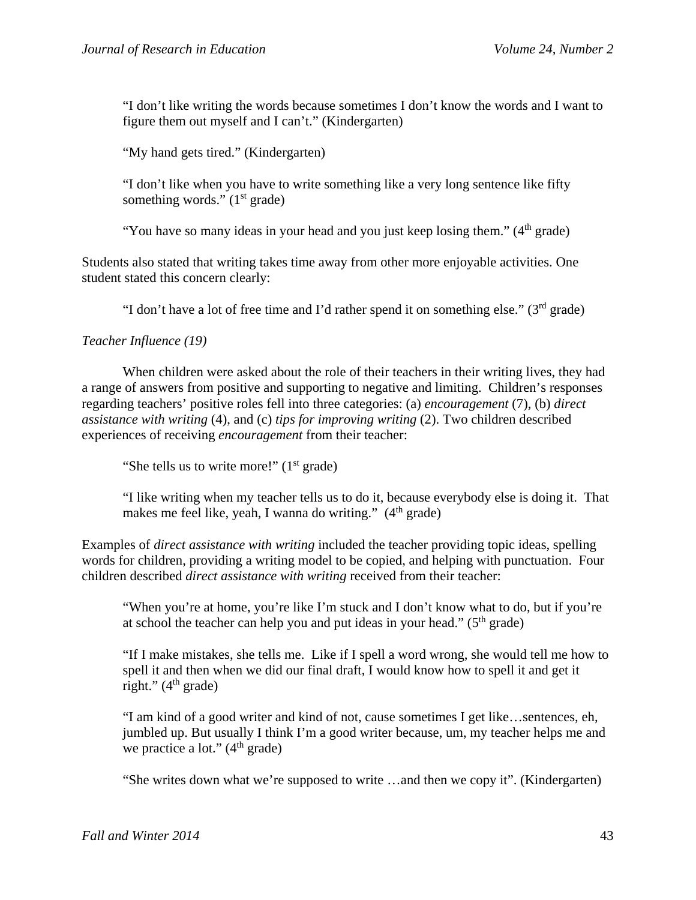"I don't like writing the words because sometimes I don't know the words and I want to figure them out myself and I can't." (Kindergarten)

"My hand gets tired." (Kindergarten)

"I don't like when you have to write something like a very long sentence like fifty something words."  $(1<sup>st</sup> grade)$ 

"You have so many ideas in your head and you just keep losing them."  $(4<sup>th</sup>$  grade)

Students also stated that writing takes time away from other more enjoyable activities. One student stated this concern clearly:

"I don't have a lot of free time and I'd rather spend it on something else." ( $3<sup>rd</sup>$  grade)

*Teacher Influence (19)* 

 When children were asked about the role of their teachers in their writing lives, they had a range of answers from positive and supporting to negative and limiting. Children's responses regarding teachers' positive roles fell into three categories: (a) *encouragement* (7), (b) *direct assistance with writing* (4), and (c) *tips for improving writing* (2). Two children described experiences of receiving *encouragement* from their teacher:

"She tells us to write more!"  $(1<sup>st</sup> grade)$ 

"I like writing when my teacher tells us to do it, because everybody else is doing it. That makes me feel like, yeah, I wanna do writing."  $(4<sup>th</sup> \text{ grade})$ 

Examples of *direct assistance with writing* included the teacher providing topic ideas, spelling words for children, providing a writing model to be copied, and helping with punctuation. Four children described *direct assistance with writing* received from their teacher:

"When you're at home, you're like I'm stuck and I don't know what to do, but if you're at school the teacher can help you and put ideas in your head."  $(5<sup>th</sup> grade)$ 

"If I make mistakes, she tells me. Like if I spell a word wrong, she would tell me how to spell it and then when we did our final draft, I would know how to spell it and get it right."  $(4<sup>th</sup> \text{ grade})$ 

"I am kind of a good writer and kind of not, cause sometimes I get like…sentences, eh, jumbled up. But usually I think I'm a good writer because, um, my teacher helps me and we practice a lot."  $(4<sup>th</sup> \text{ grade})$ 

"She writes down what we're supposed to write …and then we copy it". (Kindergarten)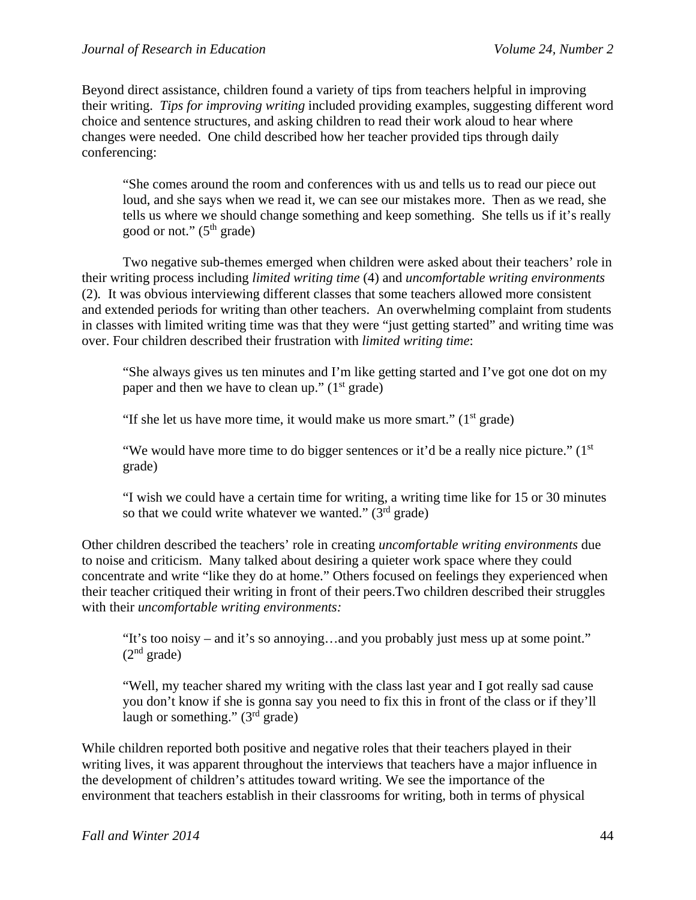Beyond direct assistance, children found a variety of tips from teachers helpful in improving their writing. *Tips for improving writing* included providing examples, suggesting different word choice and sentence structures, and asking children to read their work aloud to hear where changes were needed. One child described how her teacher provided tips through daily conferencing:

"She comes around the room and conferences with us and tells us to read our piece out loud, and she says when we read it, we can see our mistakes more. Then as we read, she tells us where we should change something and keep something. She tells us if it's really good or not."  $(5<sup>th</sup> \text{ grade})$ 

Two negative sub-themes emerged when children were asked about their teachers' role in their writing process including *limited writing time* (4) and *uncomfortable writing environments*  (2)*.* It was obvious interviewing different classes that some teachers allowed more consistent and extended periods for writing than other teachers. An overwhelming complaint from students in classes with limited writing time was that they were "just getting started" and writing time was over. Four children described their frustration with *limited writing time*:

"She always gives us ten minutes and I'm like getting started and I've got one dot on my paper and then we have to clean up."  $(1<sup>st</sup> grade)$ 

"If she let us have more time, it would make us more smart."  $(1<sup>st</sup> grade)$ 

"We would have more time to do bigger sentences or it'd be a really nice picture."  $(1<sup>st</sup>$ grade)

"I wish we could have a certain time for writing, a writing time like for 15 or 30 minutes so that we could write whatever we wanted."  $(3<sup>rd</sup> grade)$ 

Other children described the teachers' role in creating *uncomfortable writing environments* due to noise and criticism. Many talked about desiring a quieter work space where they could concentrate and write "like they do at home." Others focused on feelings they experienced when their teacher critiqued their writing in front of their peers.Two children described their struggles with their *uncomfortable writing environments:* 

"It's too noisy – and it's so annoying…and you probably just mess up at some point."  $(2<sup>nd</sup> grade)$ 

"Well, my teacher shared my writing with the class last year and I got really sad cause you don't know if she is gonna say you need to fix this in front of the class or if they'll laugh or something."  $(3<sup>rd</sup>$  grade)

While children reported both positive and negative roles that their teachers played in their writing lives, it was apparent throughout the interviews that teachers have a major influence in the development of children's attitudes toward writing. We see the importance of the environment that teachers establish in their classrooms for writing, both in terms of physical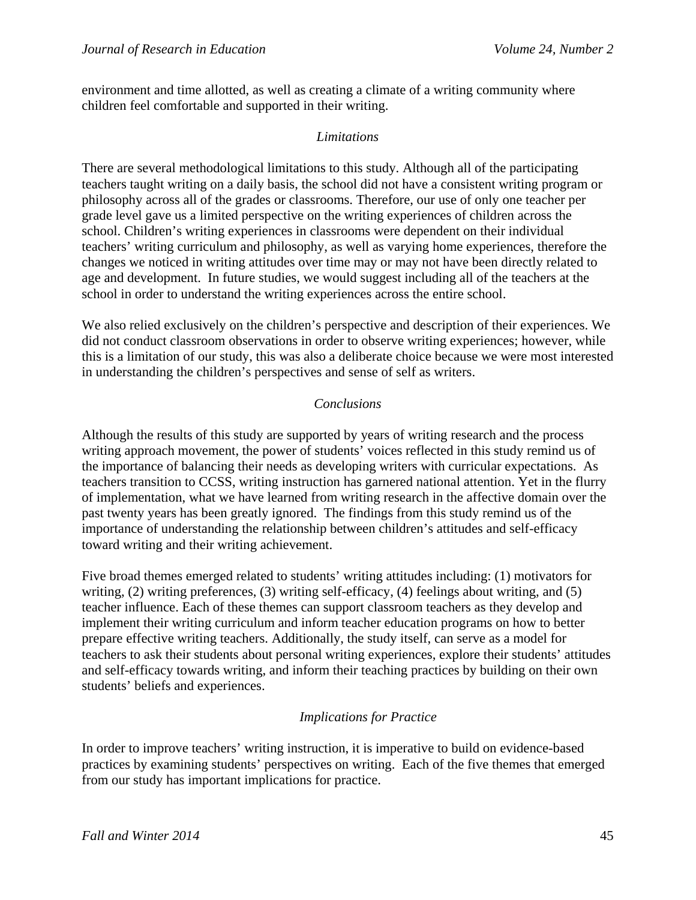environment and time allotted, as well as creating a climate of a writing community where children feel comfortable and supported in their writing.

## *Limitations*

There are several methodological limitations to this study. Although all of the participating teachers taught writing on a daily basis, the school did not have a consistent writing program or philosophy across all of the grades or classrooms. Therefore, our use of only one teacher per grade level gave us a limited perspective on the writing experiences of children across the school. Children's writing experiences in classrooms were dependent on their individual teachers' writing curriculum and philosophy, as well as varying home experiences, therefore the changes we noticed in writing attitudes over time may or may not have been directly related to age and development. In future studies, we would suggest including all of the teachers at the school in order to understand the writing experiences across the entire school.

We also relied exclusively on the children's perspective and description of their experiences. We did not conduct classroom observations in order to observe writing experiences; however, while this is a limitation of our study, this was also a deliberate choice because we were most interested in understanding the children's perspectives and sense of self as writers.

# *Conclusions*

Although the results of this study are supported by years of writing research and the process writing approach movement, the power of students' voices reflected in this study remind us of the importance of balancing their needs as developing writers with curricular expectations. As teachers transition to CCSS, writing instruction has garnered national attention. Yet in the flurry of implementation, what we have learned from writing research in the affective domain over the past twenty years has been greatly ignored. The findings from this study remind us of the importance of understanding the relationship between children's attitudes and self-efficacy toward writing and their writing achievement.

Five broad themes emerged related to students' writing attitudes including: (1) motivators for writing, (2) writing preferences, (3) writing self-efficacy, (4) feelings about writing, and (5) teacher influence. Each of these themes can support classroom teachers as they develop and implement their writing curriculum and inform teacher education programs on how to better prepare effective writing teachers. Additionally, the study itself, can serve as a model for teachers to ask their students about personal writing experiences, explore their students' attitudes and self-efficacy towards writing, and inform their teaching practices by building on their own students' beliefs and experiences.

## *Implications for Practice*

In order to improve teachers' writing instruction, it is imperative to build on evidence-based practices by examining students' perspectives on writing. Each of the five themes that emerged from our study has important implications for practice.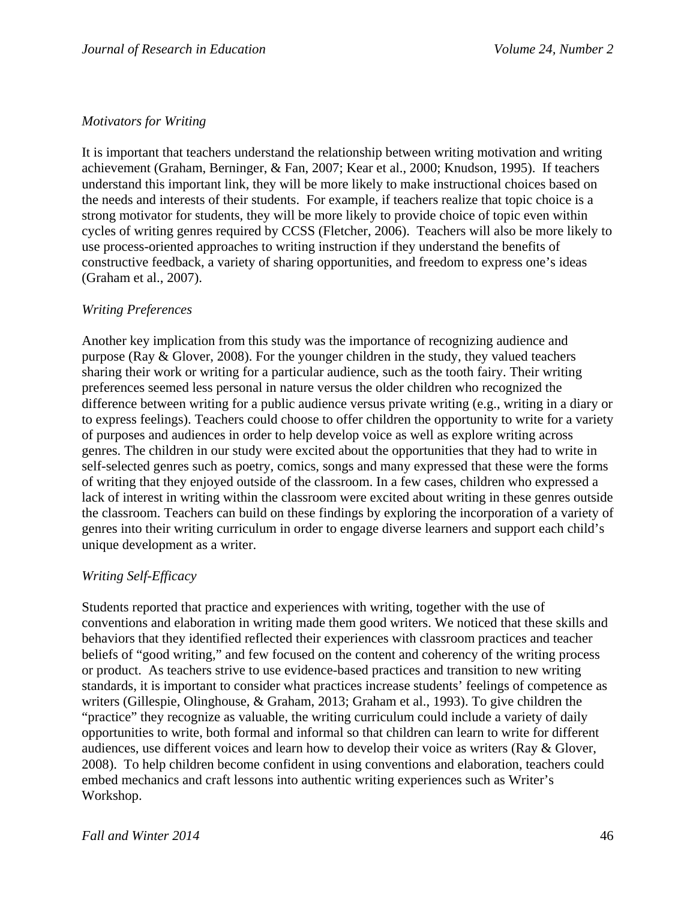# *Motivators for Writing*

It is important that teachers understand the relationship between writing motivation and writing achievement (Graham, Berninger, & Fan, 2007; Kear et al., 2000; Knudson, 1995). If teachers understand this important link, they will be more likely to make instructional choices based on the needs and interests of their students. For example, if teachers realize that topic choice is a strong motivator for students, they will be more likely to provide choice of topic even within cycles of writing genres required by CCSS (Fletcher, 2006). Teachers will also be more likely to use process-oriented approaches to writing instruction if they understand the benefits of constructive feedback, a variety of sharing opportunities, and freedom to express one's ideas (Graham et al., 2007).

# *Writing Preferences*

Another key implication from this study was the importance of recognizing audience and purpose (Ray & Glover, 2008). For the younger children in the study, they valued teachers sharing their work or writing for a particular audience, such as the tooth fairy. Their writing preferences seemed less personal in nature versus the older children who recognized the difference between writing for a public audience versus private writing (e.g., writing in a diary or to express feelings). Teachers could choose to offer children the opportunity to write for a variety of purposes and audiences in order to help develop voice as well as explore writing across genres. The children in our study were excited about the opportunities that they had to write in self-selected genres such as poetry, comics, songs and many expressed that these were the forms of writing that they enjoyed outside of the classroom. In a few cases, children who expressed a lack of interest in writing within the classroom were excited about writing in these genres outside the classroom. Teachers can build on these findings by exploring the incorporation of a variety of genres into their writing curriculum in order to engage diverse learners and support each child's unique development as a writer.

## *Writing Self-Efficacy*

Students reported that practice and experiences with writing, together with the use of conventions and elaboration in writing made them good writers. We noticed that these skills and behaviors that they identified reflected their experiences with classroom practices and teacher beliefs of "good writing," and few focused on the content and coherency of the writing process or product. As teachers strive to use evidence-based practices and transition to new writing standards, it is important to consider what practices increase students' feelings of competence as writers (Gillespie, Olinghouse, & Graham, 2013; Graham et al., 1993). To give children the "practice" they recognize as valuable, the writing curriculum could include a variety of daily opportunities to write, both formal and informal so that children can learn to write for different audiences, use different voices and learn how to develop their voice as writers (Ray & Glover, 2008). To help children become confident in using conventions and elaboration, teachers could embed mechanics and craft lessons into authentic writing experiences such as Writer's Workshop.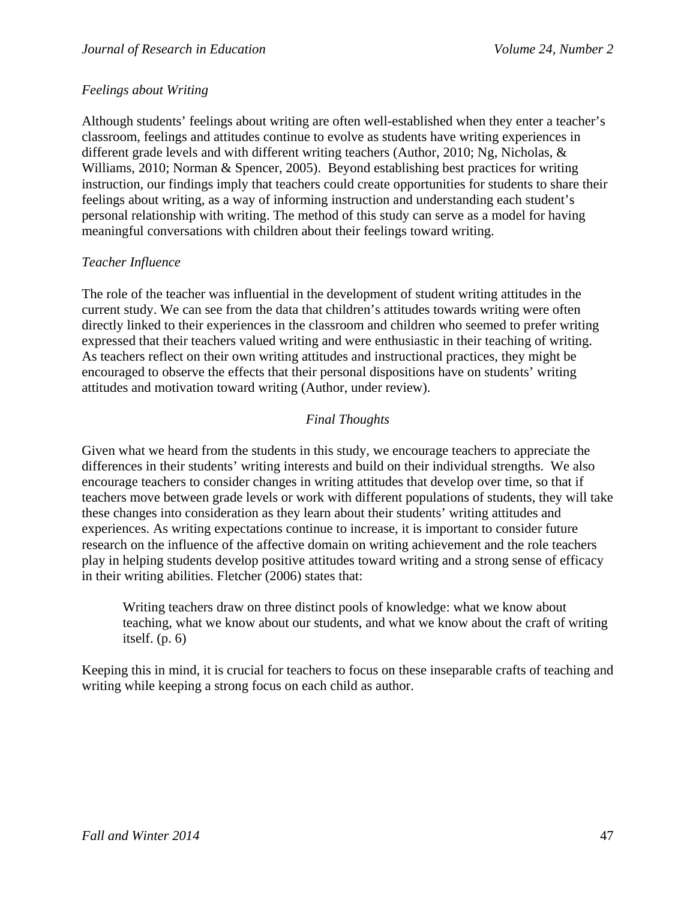## *Feelings about Writing*

Although students' feelings about writing are often well-established when they enter a teacher's classroom, feelings and attitudes continue to evolve as students have writing experiences in different grade levels and with different writing teachers (Author, 2010; Ng, Nicholas, & Williams, 2010; Norman & Spencer, 2005). Beyond establishing best practices for writing instruction, our findings imply that teachers could create opportunities for students to share their feelings about writing, as a way of informing instruction and understanding each student's personal relationship with writing. The method of this study can serve as a model for having meaningful conversations with children about their feelings toward writing.

## *Teacher Influence*

The role of the teacher was influential in the development of student writing attitudes in the current study. We can see from the data that children's attitudes towards writing were often directly linked to their experiences in the classroom and children who seemed to prefer writing expressed that their teachers valued writing and were enthusiastic in their teaching of writing. As teachers reflect on their own writing attitudes and instructional practices, they might be encouraged to observe the effects that their personal dispositions have on students' writing attitudes and motivation toward writing (Author, under review).

# *Final Thoughts*

Given what we heard from the students in this study, we encourage teachers to appreciate the differences in their students' writing interests and build on their individual strengths. We also encourage teachers to consider changes in writing attitudes that develop over time, so that if teachers move between grade levels or work with different populations of students, they will take these changes into consideration as they learn about their students' writing attitudes and experiences. As writing expectations continue to increase, it is important to consider future research on the influence of the affective domain on writing achievement and the role teachers play in helping students develop positive attitudes toward writing and a strong sense of efficacy in their writing abilities. Fletcher (2006) states that:

Writing teachers draw on three distinct pools of knowledge: what we know about teaching, what we know about our students, and what we know about the craft of writing itself. (p. 6)

Keeping this in mind, it is crucial for teachers to focus on these inseparable crafts of teaching and writing while keeping a strong focus on each child as author.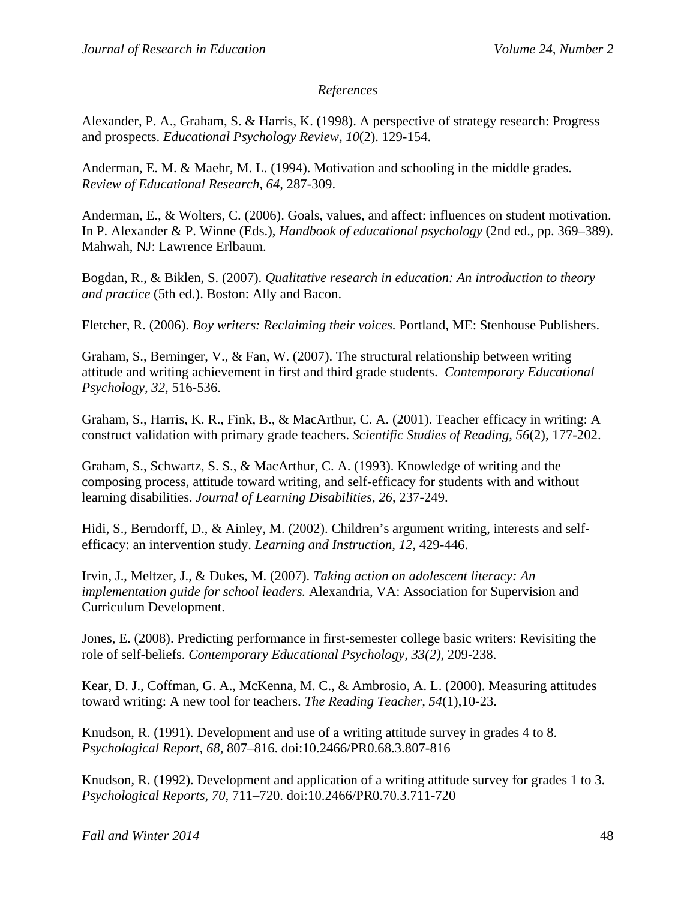## *References*

Alexander, P. A., Graham, S. & Harris, K. (1998). A perspective of strategy research: Progress and prospects. *Educational Psychology Review, 10*(2). 129-154.

Anderman, E. M. & Maehr, M. L. (1994). Motivation and schooling in the middle grades. *Review of Educational Research, 64,* 287-309.

Anderman, E., & Wolters, C. (2006). Goals, values, and affect: influences on student motivation. In P. Alexander & P. Winne (Eds.), *Handbook of educational psychology* (2nd ed., pp. 369–389). Mahwah, NJ: Lawrence Erlbaum.

Bogdan, R., & Biklen, S. (2007). *Qualitative research in education: An introduction to theory and practice* (5th ed.). Boston: Ally and Bacon.

Fletcher, R. (2006). *Boy writers: Reclaiming their voices.* Portland, ME: Stenhouse Publishers.

Graham, S., Berninger, V., & Fan, W. (2007). The structural relationship between writing attitude and writing achievement in first and third grade students. *Contemporary Educational Psychology, 32,* 516-536.

Graham, S., Harris, K. R., Fink, B., & MacArthur, C. A. (2001). Teacher efficacy in writing: A construct validation with primary grade teachers. *Scientific Studies of Reading*, *56*(2), 177-202.

Graham, S., Schwartz, S. S., & MacArthur, C. A. (1993). Knowledge of writing and the composing process, attitude toward writing, and self-efficacy for students with and without learning disabilities. *Journal of Learning Disabilities, 26*, 237-249.

Hidi, S., Berndorff, D., & Ainley, M. (2002). Children's argument writing, interests and selfefficacy: an intervention study. *Learning and Instruction, 12*, 429-446.

Irvin, J., Meltzer, J., & Dukes, M. (2007). *Taking action on adolescent literacy: An implementation guide for school leaders.* Alexandria, VA: Association for Supervision and Curriculum Development.

Jones, E. (2008). Predicting performance in first-semester college basic writers: Revisiting the role of self-beliefs. *Contemporary Educational Psychology, 33(2)*, 209-238.

Kear, D. J., Coffman, G. A., McKenna, M. C., & Ambrosio, A. L. (2000). Measuring attitudes toward writing: A new tool for teachers. *The Reading Teacher, 54*(1),10-23.

Knudson, R. (1991). Development and use of a writing attitude survey in grades 4 to 8. *Psychological Report, 68,* 807–816. doi:10.2466/PR0.68.3.807-816

Knudson, R. (1992). Development and application of a writing attitude survey for grades 1 to 3. *Psychological Reports, 70,* 711–720. doi:10.2466/PR0.70.3.711-720

*Fall and Winter 2014* 48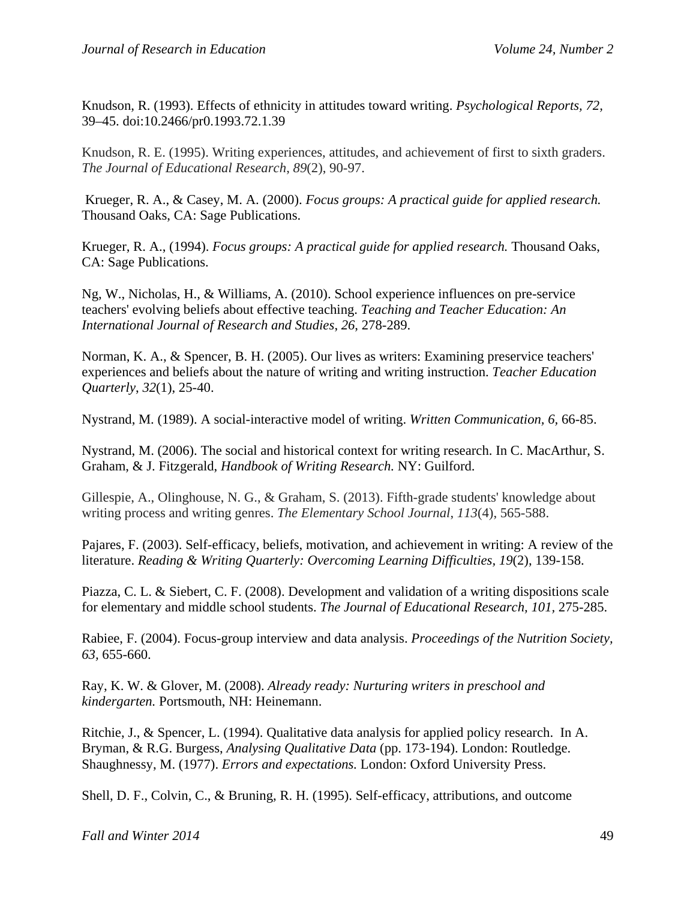Knudson, R. (1993). Effects of ethnicity in attitudes toward writing. *Psychological Reports, 72,* 39–45. doi:10.2466/pr0.1993.72.1.39

Knudson, R. E. (1995). Writing experiences, attitudes, and achievement of first to sixth graders. *The Journal of Educational Research*, *89*(2), 90-97.

 Krueger, R. A., & Casey, M. A. (2000). *Focus groups: A practical guide for applied research.*  Thousand Oaks, CA: Sage Publications.

Krueger, R. A., (1994). *Focus groups: A practical guide for applied research.* Thousand Oaks, CA: Sage Publications.

Ng, W., Nicholas, H., & Williams, A. (2010). School experience influences on pre-service teachers' evolving beliefs about effective teaching. *Teaching and Teacher Education: An International Journal of Research and Studies*, *26*, 278-289.

Norman, K. A., & Spencer, B. H. (2005). Our lives as writers: Examining preservice teachers' experiences and beliefs about the nature of writing and writing instruction. *Teacher Education Quarterly*, *32*(1), 25-40.

Nystrand, M. (1989). A social-interactive model of writing. *Written Communication, 6,* 66-85.

Nystrand, M. (2006). The social and historical context for writing research. In C. MacArthur, S. Graham, & J. Fitzgerald, *Handbook of Writing Research.* NY: Guilford.

Gillespie, A., Olinghouse, N. G., & Graham, S. (2013). Fifth-grade students' knowledge about writing process and writing genres. *The Elementary School Journal*, *113*(4), 565-588.

Pajares, F. (2003). Self-efficacy, beliefs, motivation, and achievement in writing: A review of the literature. *Reading & Writing Quarterly: Overcoming Learning Difficulties, 19*(2), 139-158.

Piazza, C. L. & Siebert, C. F. (2008). Development and validation of a writing dispositions scale for elementary and middle school students. *The Journal of Educational Research, 101,* 275-285.

Rabiee, F. (2004). Focus-group interview and data analysis. *Proceedings of the Nutrition Society, 63,* 655-660.

Ray, K. W. & Glover, M. (2008). *Already ready: Nurturing writers in preschool and kindergarten.* Portsmouth, NH: Heinemann.

Ritchie, J., & Spencer, L. (1994). Qualitative data analysis for applied policy research. In A. Bryman, & R.G. Burgess, *Analysing Qualitative Data* (pp. 173-194). London: Routledge. Shaughnessy, M. (1977). *Errors and expectations.* London: Oxford University Press.

Shell, D. F., Colvin, C., & Bruning, R. H. (1995). Self-efficacy, attributions, and outcome